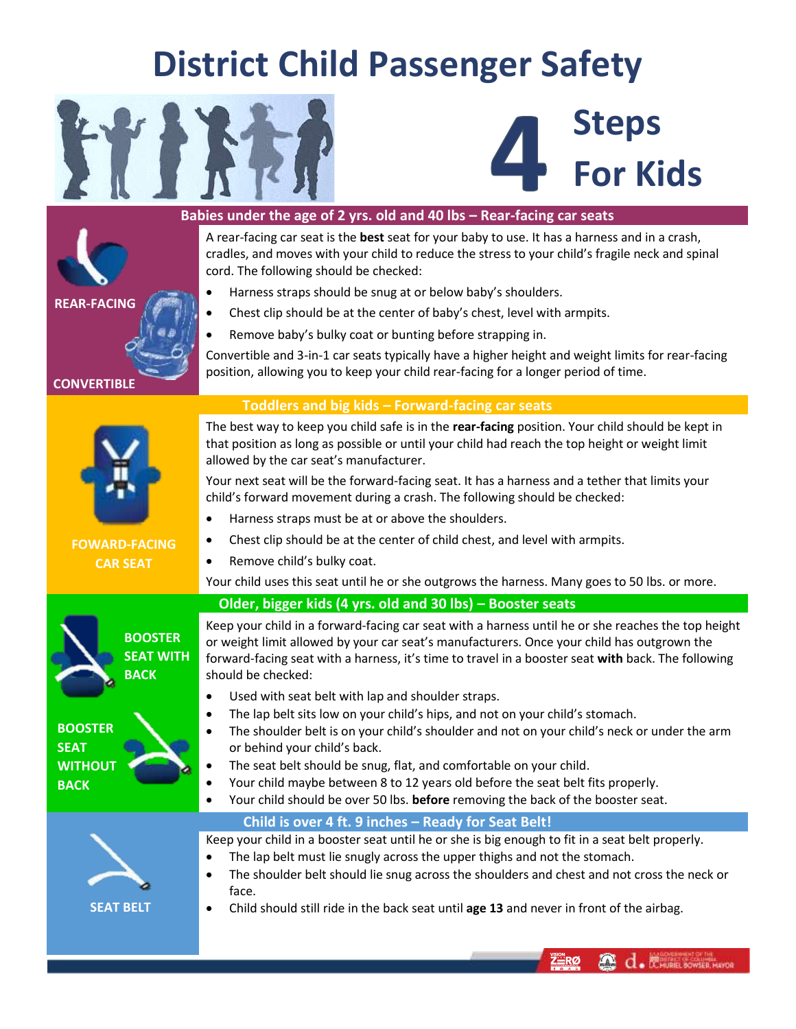## **District Child Passenger Safety**





**3** d. ENDER SOWSER, MAYOR

Z=RØ

| Babies under the age of 2 yrs. old and 40 lbs - Rear-facing car seats |                                                                                                                                                                                                                                                                                                                              |  |
|-----------------------------------------------------------------------|------------------------------------------------------------------------------------------------------------------------------------------------------------------------------------------------------------------------------------------------------------------------------------------------------------------------------|--|
|                                                                       | A rear-facing car seat is the best seat for your baby to use. It has a harness and in a crash,<br>cradles, and moves with your child to reduce the stress to your child's fragile neck and spinal<br>cord. The following should be checked:                                                                                  |  |
| <b>REAR-FACING</b>                                                    | Harness straps should be snug at or below baby's shoulders.                                                                                                                                                                                                                                                                  |  |
|                                                                       | Chest clip should be at the center of baby's chest, level with armpits.                                                                                                                                                                                                                                                      |  |
|                                                                       | Remove baby's bulky coat or bunting before strapping in.                                                                                                                                                                                                                                                                     |  |
| <b>CONVERTIBLE</b>                                                    | Convertible and 3-in-1 car seats typically have a higher height and weight limits for rear-facing<br>position, allowing you to keep your child rear-facing for a longer period of time.                                                                                                                                      |  |
|                                                                       | Toddlers and big kids - Forward-facing car seats                                                                                                                                                                                                                                                                             |  |
|                                                                       | The best way to keep you child safe is in the rear-facing position. Your child should be kept in<br>that position as long as possible or until your child had reach the top height or weight limit<br>allowed by the car seat's manufacturer.                                                                                |  |
|                                                                       | Your next seat will be the forward-facing seat. It has a harness and a tether that limits your<br>child's forward movement during a crash. The following should be checked:                                                                                                                                                  |  |
|                                                                       | Harness straps must be at or above the shoulders.<br>$\bullet$                                                                                                                                                                                                                                                               |  |
| <b>FOWARD-FACING</b>                                                  | Chest clip should be at the center of child chest, and level with armpits.<br>٠                                                                                                                                                                                                                                              |  |
| <b>CAR SEAT</b>                                                       | Remove child's bulky coat.                                                                                                                                                                                                                                                                                                   |  |
|                                                                       | Your child uses this seat until he or she outgrows the harness. Many goes to 50 lbs. or more.                                                                                                                                                                                                                                |  |
| Older, bigger kids (4 yrs. old and 30 lbs) - Booster seats            |                                                                                                                                                                                                                                                                                                                              |  |
| <b>BOOSTER</b><br><b>SEAT WITH</b><br><b>BACK</b>                     | Keep your child in a forward-facing car seat with a harness until he or she reaches the top height<br>or weight limit allowed by your car seat's manufacturers. Once your child has outgrown the<br>forward-facing seat with a harness, it's time to travel in a booster seat with back. The following<br>should be checked: |  |
|                                                                       | Used with seat belt with lap and shoulder straps.<br>$\bullet$                                                                                                                                                                                                                                                               |  |
| <b>BOOSTER</b>                                                        | The lap belt sits low on your child's hips, and not on your child's stomach.<br>٠                                                                                                                                                                                                                                            |  |
| <b>SEAT</b>                                                           | The shoulder belt is on your child's shoulder and not on your child's neck or under the arm<br>$\bullet$<br>or behind your child's back.                                                                                                                                                                                     |  |
| WIIHOUI                                                               | The seat belt should be snug, flat, and comfortable on your child.                                                                                                                                                                                                                                                           |  |
| <b>BACK</b>                                                           | Your child maybe between 8 to 12 years old before the seat belt fits properly.                                                                                                                                                                                                                                               |  |
|                                                                       | Your child should be over 50 lbs. before removing the back of the booster seat.<br>$\bullet$                                                                                                                                                                                                                                 |  |
| Child is over 4 ft. 9 inches - Ready for Seat Belt!                   |                                                                                                                                                                                                                                                                                                                              |  |
|                                                                       | Keep your child in a booster seat until he or she is big enough to fit in a seat belt properly.<br>The lap belt must lie snugly across the upper thighs and not the stomach.<br>٠                                                                                                                                            |  |
|                                                                       | The shoulder belt should lie snug across the shoulders and chest and not cross the neck or<br>$\bullet$                                                                                                                                                                                                                      |  |
|                                                                       | face.                                                                                                                                                                                                                                                                                                                        |  |
| <b>SEAT BELT</b>                                                      | Child should still ride in the back seat until age 13 and never in front of the airbag.<br>$\bullet$                                                                                                                                                                                                                         |  |
|                                                                       |                                                                                                                                                                                                                                                                                                                              |  |